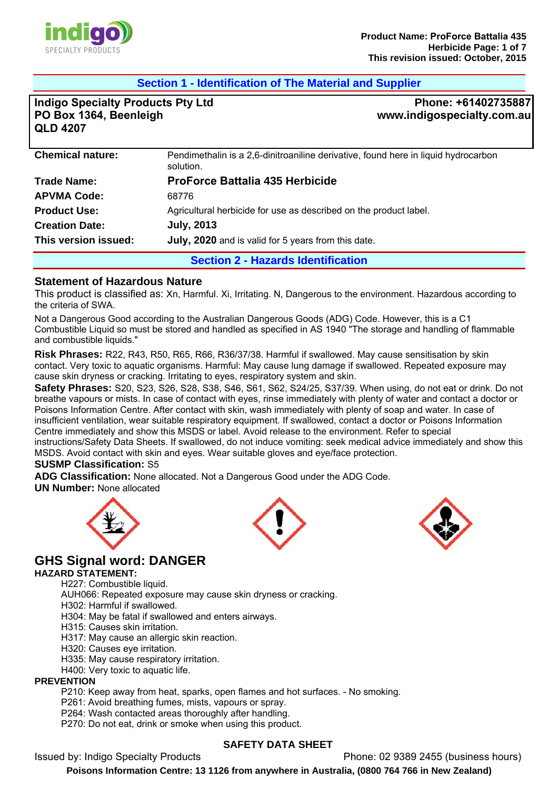

## **Section 1 - Identification of The Material and Supplier**

**Indigo Specialty Products Pty Ltd PO Box 1364, Beenleigh QLD 4207**

**Phone: +61402735887 www.indigospecialty.com.au**

| <b>Chemical nature:</b>                    | Pendimethalin is a 2,6-dinitroaniline derivative, found here in liquid hydrocarbon<br>solution. |  |
|--------------------------------------------|-------------------------------------------------------------------------------------------------|--|
| <b>Trade Name:</b>                         | <b>ProForce Battalia 435 Herbicide</b>                                                          |  |
| <b>APVMA Code:</b>                         | 68776                                                                                           |  |
| <b>Product Use:</b>                        | Agricultural herbicide for use as described on the product label.                               |  |
| <b>July, 2013</b><br><b>Creation Date:</b> |                                                                                                 |  |
| This version issued:                       | July, 2020 and is valid for 5 years from this date.                                             |  |
|                                            | <b>Section 2 - Hazards Identification</b>                                                       |  |

#### **Statement of Hazardous Nature**

This product is classified as: Xn, Harmful. Xi, Irritating. N, Dangerous to the environment. Hazardous according to the criteria of SWA.

Not a Dangerous Good according to the Australian Dangerous Goods (ADG) Code. However, this is a C1 Combustible Liquid so must be stored and handled as specified in AS 1940 "The storage and handling of flammable and combustible liquids."

**Risk Phrases:** R22, R43, R50, R65, R66, R36/37/38. Harmful if swallowed. May cause sensitisation by skin contact. Very toxic to aquatic organisms. Harmful: May cause lung damage if swallowed. Repeated exposure may cause skin dryness or cracking. Irritating to eyes, respiratory system and skin.

**Safety Phrases:** S20, S23, S26, S28, S38, S46, S61, S62, S24/25, S37/39. When using, do not eat or drink. Do not breathe vapours or mists. In case of contact with eyes, rinse immediately with plenty of water and contact a doctor or Poisons Information Centre. After contact with skin, wash immediately with plenty of soap and water. In case of insufficient ventilation, wear suitable respiratory equipment. If swallowed, contact a doctor or Poisons Information Centre immediately and show this MSDS or label. Avoid release to the environment. Refer to special instructions/Safety Data Sheets. If swallowed, do not induce vomiting: seek medical advice immediately and show this MSDS. Avoid contact with skin and eyes. Wear suitable gloves and eye/face protection.

#### **SUSMP Classification:** S5

**ADG Classification:** None allocated. Not a Dangerous Good under the ADG Code.

**UN Number:** None allocated







# **GHS Signal word: DANGER**

#### **HAZARD STATEMENT:**

H227: Combustible liquid.

AUH066: Repeated exposure may cause skin dryness or cracking.

H302: Harmful if swallowed.

H304: May be fatal if swallowed and enters airways.

- H315: Causes skin irritation.
- H317: May cause an allergic skin reaction.
- H320: Causes eye irritation.
- H335: May cause respiratory irritation.
- H400: Very toxic to aquatic life.

#### **PREVENTION**

P210: Keep away from heat, sparks, open flames and hot surfaces. - No smoking.

- P261: Avoid breathing fumes, mists, vapours or spray.
- P264: Wash contacted areas thoroughly after handling.
- P270: Do not eat, drink or smoke when using this product.

#### **SAFETY DATA SHEET**

Issued by: Indigo Specialty Products Phone: 02 9389 2455 (business hours)

**Poisons Information Centre: 13 1126 from anywhere in Australia, (0800 764 766 in New Zealand)**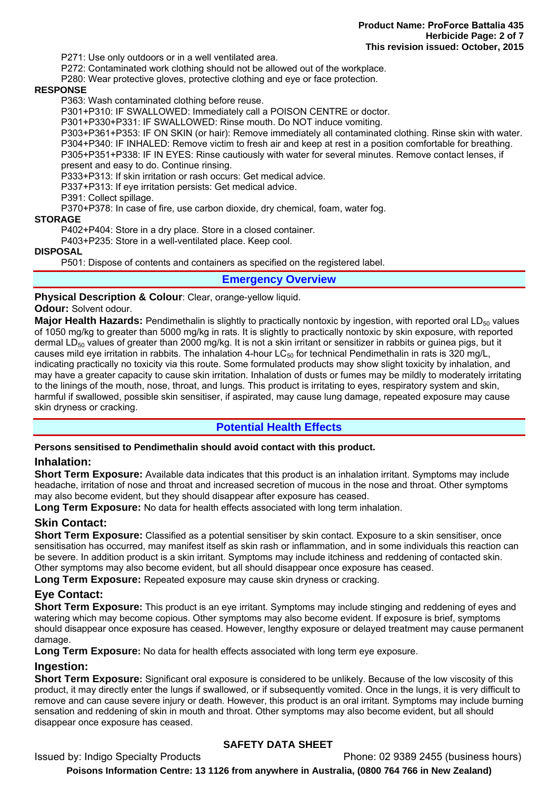P271: Use only outdoors or in a well ventilated area.

P272: Contaminated work clothing should not be allowed out of the workplace.

P280: Wear protective gloves, protective clothing and eye or face protection.

#### **RESPONSE**

P363: Wash contaminated clothing before reuse.

P301+P310: IF SWALLOWED: Immediately call a POISON CENTRE or doctor.

P301+P330+P331: IF SWALLOWED: Rinse mouth. Do NOT induce vomiting.

P303+P361+P353: IF ON SKIN (or hair): Remove immediately all contaminated clothing. Rinse skin with water. P304+P340: IF INHALED: Remove victim to fresh air and keep at rest in a position comfortable for breathing. P305+P351+P338: IF IN EYES: Rinse cautiously with water for several minutes. Remove contact lenses, if present and easy to do. Continue rinsing.

P333+P313: If skin irritation or rash occurs: Get medical advice.

P337+P313: If eye irritation persists: Get medical advice.

P391: Collect spillage.

P370+P378: In case of fire, use carbon dioxide, dry chemical, foam, water fog.

**STORAGE** 

P402+P404: Store in a dry place. Store in a closed container.

P403+P235: Store in a well-ventilated place. Keep cool.

#### **DISPOSAL**

P501: Dispose of contents and containers as specified on the registered label.

#### **Emergency Overview**

**Physical Description & Colour**: Clear, orange-yellow liquid.

#### **Odour:** Solvent odour.

**Major Health Hazards:** Pendimethalin is slightly to practically nontoxic by ingestion, with reported oral LD<sub>50</sub> values of 1050 mg/kg to greater than 5000 mg/kg in rats. It is slightly to practically nontoxic by skin exposure, with reported dermal LD $_{50}$  values of greater than 2000 mg/kg. It is not a skin irritant or sensitizer in rabbits or guinea pigs, but it causes mild eye irritation in rabbits. The inhalation 4-hour LC $_{50}$  for technical Pendimethalin in rats is 320 mg/L, indicating practically no toxicity via this route. Some formulated products may show slight toxicity by inhalation, and may have a greater capacity to cause skin irritation. Inhalation of dusts or fumes may be mildly to moderately irritating to the linings of the mouth, nose, throat, and lungs. This product is irritating to eyes, respiratory system and skin, harmful if swallowed, possible skin sensitiser, if aspirated, may cause lung damage, repeated exposure may cause skin dryness or cracking.

#### **Potential Health Effects**

#### **Persons sensitised to Pendimethalin should avoid contact with this product.**

#### **Inhalation:**

**Short Term Exposure:** Available data indicates that this product is an inhalation irritant. Symptoms may include headache, irritation of nose and throat and increased secretion of mucous in the nose and throat. Other symptoms may also become evident, but they should disappear after exposure has ceased.

**Long Term Exposure:** No data for health effects associated with long term inhalation.

#### **Skin Contact:**

**Short Term Exposure:** Classified as a potential sensitiser by skin contact. Exposure to a skin sensitiser, once sensitisation has occurred, may manifest itself as skin rash or inflammation, and in some individuals this reaction can be severe. In addition product is a skin irritant. Symptoms may include itchiness and reddening of contacted skin. Other symptoms may also become evident, but all should disappear once exposure has ceased.

**Long Term Exposure:** Repeated exposure may cause skin dryness or cracking.

#### **Eye Contact:**

**Short Term Exposure:** This product is an eye irritant. Symptoms may include stinging and reddening of eyes and watering which may become copious. Other symptoms may also become evident. If exposure is brief, symptoms should disappear once exposure has ceased. However, lengthy exposure or delayed treatment may cause permanent damage.

**Long Term Exposure:** No data for health effects associated with long term eye exposure.

#### **Ingestion:**

**Short Term Exposure:** Significant oral exposure is considered to be unlikely. Because of the low viscosity of this product, it may directly enter the lungs if swallowed, or if subsequently vomited. Once in the lungs, it is very difficult to remove and can cause severe injury or death. However, this product is an oral irritant. Symptoms may include burning sensation and reddening of skin in mouth and throat. Other symptoms may also become evident, but all should disappear once exposure has ceased.

# **SAFETY DATA SHEET**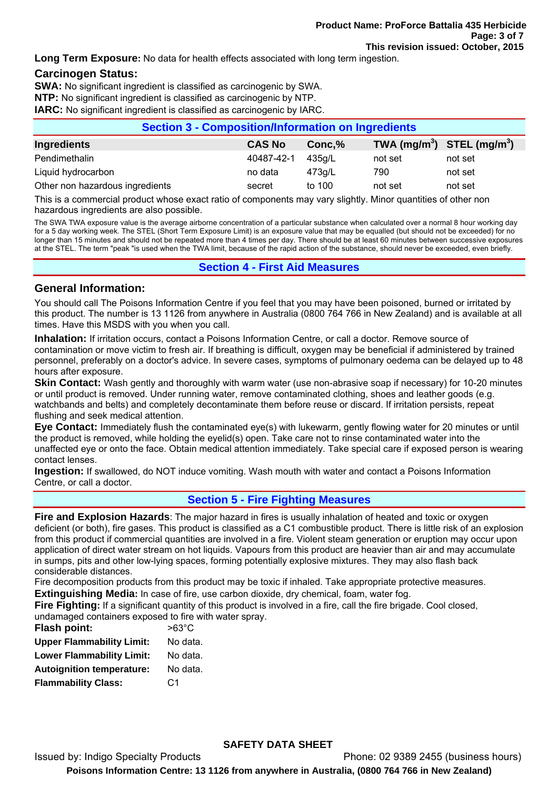**Long Term Exposure:** No data for health effects associated with long term ingestion.

## **Carcinogen Status:**

**SWA:** No significant ingredient is classified as carcinogenic by SWA.

**NTP:** No significant ingredient is classified as carcinogenic by NTP.

**IARC:** No significant ingredient is classified as carcinogenic by IARC.

| <b>Section 3 - Composition/Information on Ingredients</b> |               |        |                                                    |         |
|-----------------------------------------------------------|---------------|--------|----------------------------------------------------|---------|
| Ingredients                                               | <b>CAS No</b> | Conc,% | TWA (mg/m <sup>3</sup> ) STEL (mg/m <sup>3</sup> ) |         |
| Pendimethalin                                             | 40487-42-1    | 435a/L | not set                                            | not set |
| Liquid hydrocarbon                                        | no data       | 473g/L | 790                                                | not set |
| Other non hazardous ingredients                           | secret        | to 100 | not set                                            | not set |

This is a commercial product whose exact ratio of components may vary slightly. Minor quantities of other non hazardous ingredients are also possible.

The SWA TWA exposure value is the average airborne concentration of a particular substance when calculated over a normal 8 hour working day for a 5 day working week. The STEL (Short Term Exposure Limit) is an exposure value that may be equalled (but should not be exceeded) for no longer than 15 minutes and should not be repeated more than 4 times per day. There should be at least 60 minutes between successive exposures at the STEL. The term "peak "is used when the TWA limit, because of the rapid action of the substance, should never be exceeded, even briefly.

## **Section 4 - First Aid Measures**

#### **General Information:**

You should call The Poisons Information Centre if you feel that you may have been poisoned, burned or irritated by this product. The number is 13 1126 from anywhere in Australia (0800 764 766 in New Zealand) and is available at all times. Have this MSDS with you when you call.

**Inhalation:** If irritation occurs, contact a Poisons Information Centre, or call a doctor. Remove source of contamination or move victim to fresh air. If breathing is difficult, oxygen may be beneficial if administered by trained personnel, preferably on a doctor's advice. In severe cases, symptoms of pulmonary oedema can be delayed up to 48 hours after exposure.

**Skin Contact:** Wash gently and thoroughly with warm water (use non-abrasive soap if necessary) for 10-20 minutes or until product is removed. Under running water, remove contaminated clothing, shoes and leather goods (e.g. watchbands and belts) and completely decontaminate them before reuse or discard. If irritation persists, repeat flushing and seek medical attention.

**Eye Contact:** Immediately flush the contaminated eye(s) with lukewarm, gently flowing water for 20 minutes or until the product is removed, while holding the eyelid(s) open. Take care not to rinse contaminated water into the unaffected eye or onto the face. Obtain medical attention immediately. Take special care if exposed person is wearing contact lenses.

**Ingestion:** If swallowed, do NOT induce vomiting. Wash mouth with water and contact a Poisons Information Centre, or call a doctor.

# **Section 5 - Fire Fighting Measures**

**Fire and Explosion Hazards**: The major hazard in fires is usually inhalation of heated and toxic or oxygen deficient (or both), fire gases. This product is classified as a C1 combustible product. There is little risk of an explosion from this product if commercial quantities are involved in a fire. Violent steam generation or eruption may occur upon application of direct water stream on hot liquids. Vapours from this product are heavier than air and may accumulate in sumps, pits and other low-lying spaces, forming potentially explosive mixtures. They may also flash back considerable distances.

Fire decomposition products from this product may be toxic if inhaled. Take appropriate protective measures.

**Extinguishing Media:** In case of fire, use carbon dioxide, dry chemical, foam, water fog.

**Fire Fighting:** If a significant quantity of this product is involved in a fire, call the fire brigade. Cool closed, undamaged containers exposed to fire with water spray.

| <b>Flash point:</b>              | $>63^{\circ}$ C |
|----------------------------------|-----------------|
| <b>Upper Flammability Limit:</b> | No data.        |
| <b>Lower Flammability Limit:</b> | No data.        |
| <b>Autoignition temperature:</b> | No data.        |
| <b>Flammability Class:</b>       | C <sub>1</sub>  |
|                                  |                 |

#### **SAFETY DATA SHEET**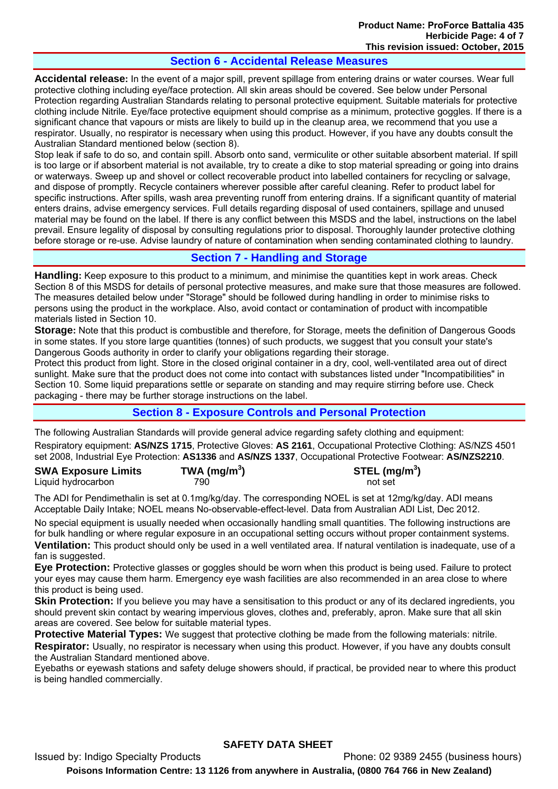# **Section 6 - Accidental Release Measures**

**Accidental release:** In the event of a major spill, prevent spillage from entering drains or water courses. Wear full protective clothing including eye/face protection. All skin areas should be covered. See below under Personal Protection regarding Australian Standards relating to personal protective equipment. Suitable materials for protective clothing include Nitrile. Eye/face protective equipment should comprise as a minimum, protective goggles. If there is a significant chance that vapours or mists are likely to build up in the cleanup area, we recommend that you use a respirator. Usually, no respirator is necessary when using this product. However, if you have any doubts consult the Australian Standard mentioned below (section 8).

Stop leak if safe to do so, and contain spill. Absorb onto sand, vermiculite or other suitable absorbent material. If spill is too large or if absorbent material is not available, try to create a dike to stop material spreading or going into drains or waterways. Sweep up and shovel or collect recoverable product into labelled containers for recycling or salvage, and dispose of promptly. Recycle containers wherever possible after careful cleaning. Refer to product label for specific instructions. After spills, wash area preventing runoff from entering drains. If a significant quantity of material enters drains, advise emergency services. Full details regarding disposal of used containers, spillage and unused material may be found on the label. If there is any conflict between this MSDS and the label, instructions on the label prevail. Ensure legality of disposal by consulting regulations prior to disposal. Thoroughly launder protective clothing before storage or re-use. Advise laundry of nature of contamination when sending contaminated clothing to laundry.

# **Section 7 - Handling and Storage**

**Handling:** Keep exposure to this product to a minimum, and minimise the quantities kept in work areas. Check Section 8 of this MSDS for details of personal protective measures, and make sure that those measures are followed. The measures detailed below under "Storage" should be followed during handling in order to minimise risks to persons using the product in the workplace. Also, avoid contact or contamination of product with incompatible materials listed in Section 10.

**Storage:** Note that this product is combustible and therefore, for Storage, meets the definition of Dangerous Goods in some states. If you store large quantities (tonnes) of such products, we suggest that you consult your state's Dangerous Goods authority in order to clarify your obligations regarding their storage.

Protect this product from light. Store in the closed original container in a dry, cool, well-ventilated area out of direct sunlight. Make sure that the product does not come into contact with substances listed under "Incompatibilities" in Section 10. Some liquid preparations settle or separate on standing and may require stirring before use. Check packaging - there may be further storage instructions on the label.

# **Section 8 - Exposure Controls and Personal Protection**

The following Australian Standards will provide general advice regarding safety clothing and equipment: Respiratory equipment: **AS/NZS 1715**, Protective Gloves: **AS 2161**, Occupational Protective Clothing: AS/NZS 4501 set 2008, Industrial Eye Protection: **AS1336** and **AS/NZS 1337**, Occupational Protective Footwear: **AS/NZS2210**.

| <b>SWA Exposure Limits</b> | TWA (mg/m <sup>3</sup> ) | STEL (mg/m <sup>3</sup> ) |
|----------------------------|--------------------------|---------------------------|
| Liquid hydrocarbon         | 790.                     | not set                   |

The ADI for Pendimethalin is set at 0.1mg/kg/day. The corresponding NOEL is set at 12mg/kg/day. ADI means Acceptable Daily Intake; NOEL means No-observable-effect-level. Data from Australian ADI List, Dec 2012.

No special equipment is usually needed when occasionally handling small quantities. The following instructions are for bulk handling or where regular exposure in an occupational setting occurs without proper containment systems. **Ventilation:** This product should only be used in a well ventilated area. If natural ventilation is inadequate, use of a fan is suggested.

**Eye Protection:** Protective glasses or goggles should be worn when this product is being used. Failure to protect your eyes may cause them harm. Emergency eye wash facilities are also recommended in an area close to where this product is being used.

**Skin Protection:** If you believe you may have a sensitisation to this product or any of its declared ingredients, you should prevent skin contact by wearing impervious gloves, clothes and, preferably, apron. Make sure that all skin areas are covered. See below for suitable material types.

**Protective Material Types:** We suggest that protective clothing be made from the following materials: nitrile. **Respirator:** Usually, no respirator is necessary when using this product. However, if you have any doubts consult the Australian Standard mentioned above.

Eyebaths or eyewash stations and safety deluge showers should, if practical, be provided near to where this product is being handled commercially.

#### **SAFETY DATA SHEET**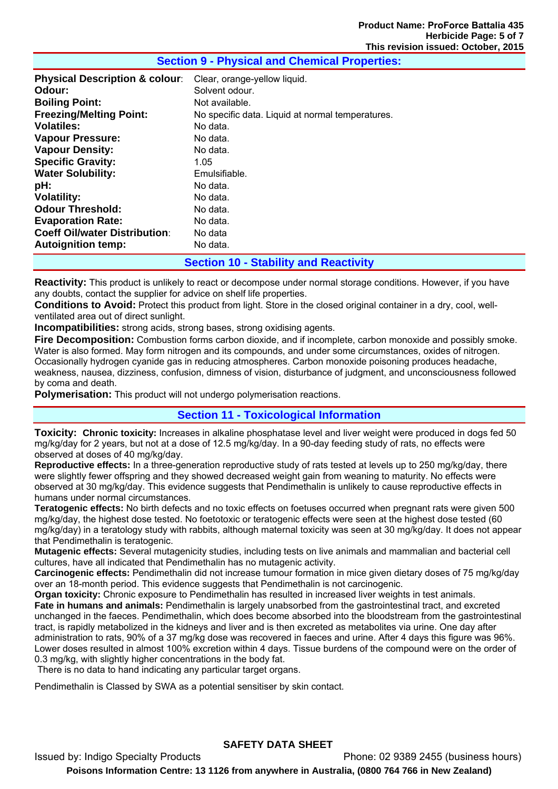| <b>Physical Description &amp; colour:</b> | Clear, orange-yellow liquid.                     |
|-------------------------------------------|--------------------------------------------------|
| Odour:                                    | Solvent odour.                                   |
| <b>Boiling Point:</b>                     | Not available.                                   |
| <b>Freezing/Melting Point:</b>            | No specific data. Liquid at normal temperatures. |
| <b>Volatiles:</b>                         | No data.                                         |
| <b>Vapour Pressure:</b>                   | No data.                                         |
| <b>Vapour Density:</b>                    | No data.                                         |
| <b>Specific Gravity:</b>                  | 1.05                                             |
| <b>Water Solubility:</b>                  | Emulsifiable.                                    |
| pH:                                       | No data.                                         |
| <b>Volatility:</b>                        | No data.                                         |
| <b>Odour Threshold:</b>                   | No data.                                         |
| <b>Evaporation Rate:</b>                  | No data.                                         |
| <b>Coeff Oil/water Distribution:</b>      | No data                                          |
| <b>Autoignition temp:</b>                 | No data.                                         |
|                                           |                                                  |

## **Section 9 - Physical and Chemical Properties:**

**Section 10 - Stability and Reactivity** 

**Reactivity:** This product is unlikely to react or decompose under normal storage conditions. However, if you have any doubts, contact the supplier for advice on shelf life properties.

**Conditions to Avoid:** Protect this product from light. Store in the closed original container in a dry, cool, wellventilated area out of direct sunlight.

**Incompatibilities:** strong acids, strong bases, strong oxidising agents.

**Fire Decomposition:** Combustion forms carbon dioxide, and if incomplete, carbon monoxide and possibly smoke. Water is also formed. May form nitrogen and its compounds, and under some circumstances, oxides of nitrogen. Occasionally hydrogen cyanide gas in reducing atmospheres. Carbon monoxide poisoning produces headache, weakness, nausea, dizziness, confusion, dimness of vision, disturbance of judgment, and unconsciousness followed by coma and death.

**Polymerisation:** This product will not undergo polymerisation reactions.

#### **Section 11 - Toxicological Information**

**Toxicity: Chronic toxicity:** Increases in alkaline phosphatase level and liver weight were produced in dogs fed 50 mg/kg/day for 2 years, but not at a dose of 12.5 mg/kg/day. In a 90-day feeding study of rats, no effects were observed at doses of 40 mg/kg/day.

**Reproductive effects:** In a three-generation reproductive study of rats tested at levels up to 250 mg/kg/day, there were slightly fewer offspring and they showed decreased weight gain from weaning to maturity. No effects were observed at 30 mg/kg/day. This evidence suggests that Pendimethalin is unlikely to cause reproductive effects in humans under normal circumstances.

**Teratogenic effects:** No birth defects and no toxic effects on foetuses occurred when pregnant rats were given 500 mg/kg/day, the highest dose tested. No foetotoxic or teratogenic effects were seen at the highest dose tested (60 mg/kg/day) in a teratology study with rabbits, although maternal toxicity was seen at 30 mg/kg/day. It does not appear that Pendimethalin is teratogenic.

**Mutagenic effects:** Several mutagenicity studies, including tests on live animals and mammalian and bacterial cell cultures, have all indicated that Pendimethalin has no mutagenic activity.

**Carcinogenic effects:** Pendimethalin did not increase tumour formation in mice given dietary doses of 75 mg/kg/day over an 18-month period. This evidence suggests that Pendimethalin is not carcinogenic.

**Organ toxicity:** Chronic exposure to Pendimethalin has resulted in increased liver weights in test animals. **Fate in humans and animals:** Pendimethalin is largely unabsorbed from the gastrointestinal tract, and excreted unchanged in the faeces. Pendimethalin, which does become absorbed into the bloodstream from the gastrointestinal tract, is rapidly metabolized in the kidneys and liver and is then excreted as metabolites via urine. One day after administration to rats, 90% of a 37 mg/kg dose was recovered in faeces and urine. After 4 days this figure was 96%. Lower doses resulted in almost 100% excretion within 4 days. Tissue burdens of the compound were on the order of 0.3 mg/kg, with slightly higher concentrations in the body fat.

There is no data to hand indicating any particular target organs.

Pendimethalin is Classed by SWA as a potential sensitiser by skin contact.

# **SAFETY DATA SHEET**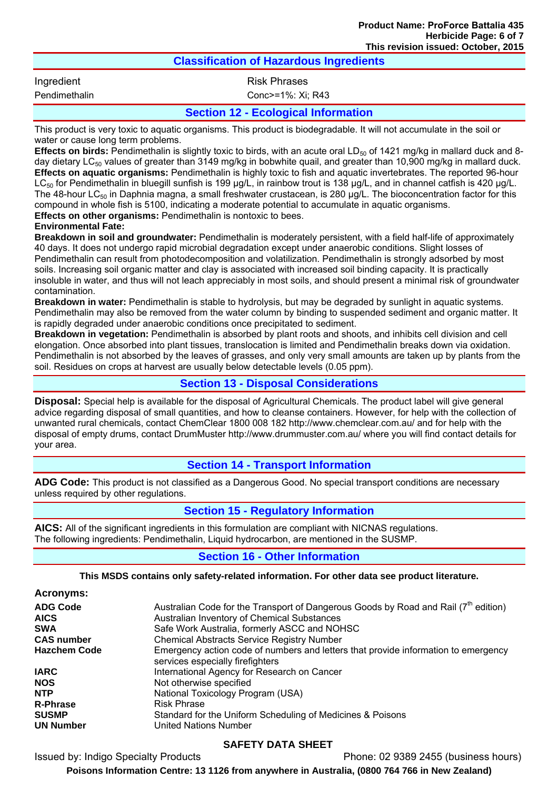| <b>Classification of Hazardous Ingredients</b>                                                                        |                                            |  |
|-----------------------------------------------------------------------------------------------------------------------|--------------------------------------------|--|
| Ingredient                                                                                                            | <b>Risk Phrases</b>                        |  |
| Pendimethalin                                                                                                         | Conc>=1%: Xi; R43                          |  |
|                                                                                                                       | <b>Section 12 - Ecological Information</b> |  |
| This product is very toxic to aquatic organisms. This product is biodegradable. It will not accumulate in the soil or |                                            |  |

water or cause long term problems. **Effects on birds:** Pendimethalin is slightly toxic to birds, with an acute oral LD<sub>50</sub> of 1421 mg/kg in mallard duck and 8-

day dietary LC<sub>50</sub> values of greater than 3149 mg/kg in bobwhite quail, and greater than 10,900 mg/kg in mallard duck. **Effects on aquatic organisms:** Pendimethalin is highly toxic to fish and aquatic invertebrates. The reported 96-hour  $LC_{50}$  for Pendimethalin in bluegill sunfish is 199 μg/L, in rainbow trout is 138 μg/L, and in channel catfish is 420 μg/L. The 48-hour LC<sub>50</sub> in Daphnia magna, a small freshwater crustacean, is 280 μg/L. The bioconcentration factor for this compound in whole fish is 5100, indicating a moderate potential to accumulate in aquatic organisms. **Effects on other organisms:** Pendimethalin is nontoxic to bees.

# **Environmental Fate:**

**Breakdown in soil and groundwater:** Pendimethalin is moderately persistent, with a field half-life of approximately 40 days. It does not undergo rapid microbial degradation except under anaerobic conditions. Slight losses of Pendimethalin can result from photodecomposition and volatilization. Pendimethalin is strongly adsorbed by most soils. Increasing soil organic matter and clay is associated with increased soil binding capacity. It is practically insoluble in water, and thus will not leach appreciably in most soils, and should present a minimal risk of groundwater contamination.

**Breakdown in water:** Pendimethalin is stable to hydrolysis, but may be degraded by sunlight in aquatic systems. Pendimethalin may also be removed from the water column by binding to suspended sediment and organic matter. It is rapidly degraded under anaerobic conditions once precipitated to sediment.

**Breakdown in vegetation:** Pendimethalin is absorbed by plant roots and shoots, and inhibits cell division and cell elongation. Once absorbed into plant tissues, translocation is limited and Pendimethalin breaks down via oxidation. Pendimethalin is not absorbed by the leaves of grasses, and only very small amounts are taken up by plants from the soil. Residues on crops at harvest are usually below detectable levels (0.05 ppm).

# **Section 13 - Disposal Considerations**

**Disposal:** Special help is available for the disposal of Agricultural Chemicals. The product label will give general advice regarding disposal of small quantities, and how to cleanse containers. However, for help with the collection of unwanted rural chemicals, contact ChemClear 1800 008 182 http://www.chemclear.com.au/ and for help with the disposal of empty drums, contact DrumMuster http://www.drummuster.com.au/ where you will find contact details for your area.

# **Section 14 - Transport Information**

**ADG Code:** This product is not classified as a Dangerous Good. No special transport conditions are necessary unless required by other regulations.

# **Section 15 - Regulatory Information**

**AICS:** All of the significant ingredients in this formulation are compliant with NICNAS regulations. The following ingredients: Pendimethalin, Liquid hydrocarbon, are mentioned in the SUSMP.

# **Section 16 - Other Information**

# **This MSDS contains only safety-related information. For other data see product literature.**

## **Acronyms:**

| Australian Code for the Transport of Dangerous Goods by Road and Rail (7 <sup>th</sup> edition)                        |
|------------------------------------------------------------------------------------------------------------------------|
| Australian Inventory of Chemical Substances                                                                            |
| Safe Work Australia, formerly ASCC and NOHSC                                                                           |
| <b>Chemical Abstracts Service Registry Number</b>                                                                      |
| Emergency action code of numbers and letters that provide information to emergency<br>services especially firefighters |
| International Agency for Research on Cancer                                                                            |
| Not otherwise specified                                                                                                |
| National Toxicology Program (USA)                                                                                      |
| <b>Risk Phrase</b>                                                                                                     |
| Standard for the Uniform Scheduling of Medicines & Poisons                                                             |
| <b>United Nations Number</b>                                                                                           |
|                                                                                                                        |

# **SAFETY DATA SHEET**

Issued by: Indigo Specialty Products Phone: 02 9389 2455 (business hours)

**Poisons Information Centre: 13 1126 from anywhere in Australia, (0800 764 766 in New Zealand)**